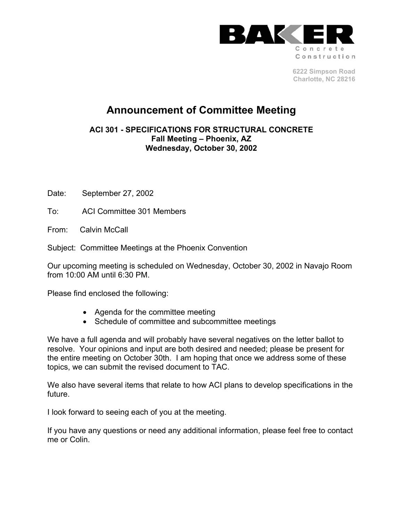

**6222 Simpson Road Charlotte, NC 28216** 

# **Announcement of Committee Meeting**

**ACI 301 - SPECIFICATIONS FOR STRUCTURAL CONCRETE Fall Meeting – Phoenix, AZ Wednesday, October 30, 2002**

Date: September 27, 2002

To: ACI Committee 301 Members

From: Calvin McCall

Subject: Committee Meetings at the Phoenix Convention

Our upcoming meeting is scheduled on Wednesday, October 30, 2002 in Navajo Room from 10:00 AM until 6:30 PM.

Please find enclosed the following:

- Agenda for the committee meeting
- Schedule of committee and subcommittee meetings

We have a full agenda and will probably have several negatives on the letter ballot to resolve. Your opinions and input are both desired and needed; please be present for the entire meeting on October 30th. I am hoping that once we address some of these topics, we can submit the revised document to TAC.

We also have several items that relate to how ACI plans to develop specifications in the future.

I look forward to seeing each of you at the meeting.

If you have any questions or need any additional information, please feel free to contact me or Colin.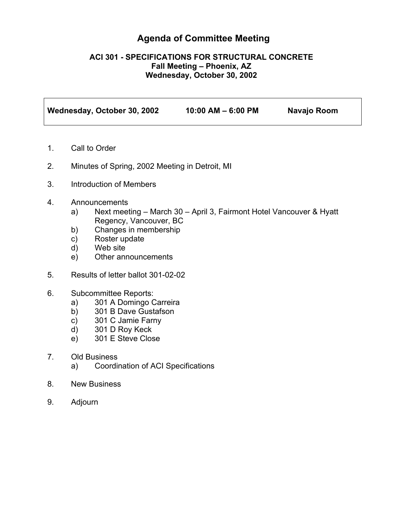## **Agenda of Committee Meeting**

#### **ACI 301 - SPECIFICATIONS FOR STRUCTURAL CONCRETE Fall Meeting – Phoenix, AZ Wednesday, October 30, 2002**

| Wednesday, October 30, 2002 | $10:00$ AM $-$ 6:00 PM | Navajo Room |
|-----------------------------|------------------------|-------------|
|                             |                        |             |

- 1. Call to Order
- 2. Minutes of Spring, 2002 Meeting in Detroit, MI
- 3. Introduction of Members
- 4. Announcements
	- a) Next meeting March 30 April 3, Fairmont Hotel Vancouver & Hyatt Regency, Vancouver, BC
	- b) Changes in membership
	- c) Roster update
	- d) Web site
	- e) Other announcements
- 5. Results of letter ballot 301-02-02
- 6. Subcommittee Reports:
	- a) 301 A Domingo Carreira
	- b) 301 B Dave Gustafson
	- c) 301 C Jamie Farny
	- d) 301 D Roy Keck
	- e) 301 E Steve Close
- 7. Old Business
	- a) Coordination of ACI Specifications
- 8. New Business
- 9. Adjourn